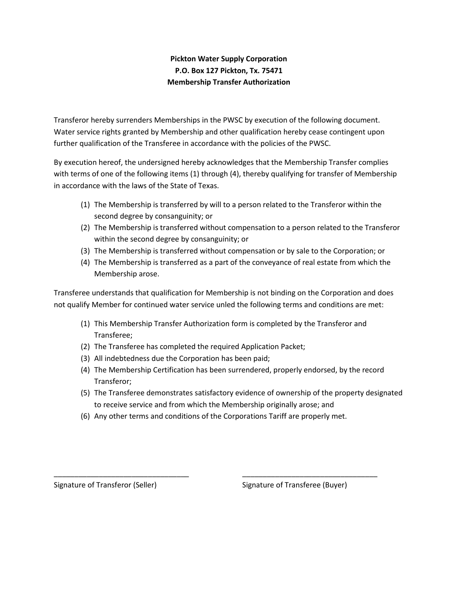## **Pickton Water Supply Corporation P.O. Box 127 Pickton, Tx. 75471 Membership Transfer Authorization**

Transferor hereby surrenders Memberships in the PWSC by execution of the following document. Water service rights granted by Membership and other qualification hereby cease contingent upon further qualification of the Transferee in accordance with the policies of the PWSC.

By execution hereof, the undersigned hereby acknowledges that the Membership Transfer complies with terms of one of the following items (1) through (4), thereby qualifying for transfer of Membership in accordance with the laws of the State of Texas.

- (1) The Membership is transferred by will to a person related to the Transferor within the second degree by consanguinity; or
- (2) The Membership is transferred without compensation to a person related to the Transferor within the second degree by consanguinity; or
- (3) The Membership is transferred without compensation or by sale to the Corporation; or
- (4) The Membership is transferred as a part of the conveyance of real estate from which the Membership arose.

Transferee understands that qualification for Membership is not binding on the Corporation and does not qualify Member for continued water service unled the following terms and conditions are met:

- (1) This Membership Transfer Authorization form is completed by the Transferor and Transferee;
- (2) The Transferee has completed the required Application Packet;
- (3) All indebtedness due the Corporation has been paid;
- (4) The Membership Certification has been surrendered, properly endorsed, by the record Transferor;
- (5) The Transferee demonstrates satisfactory evidence of ownership of the property designated to receive service and from which the Membership originally arose; and
- (6) Any other terms and conditions of the Corporations Tariff are properly met.

\_\_\_\_\_\_\_\_\_\_\_\_\_\_\_\_\_\_\_\_\_\_\_\_\_\_\_\_\_\_\_\_\_ \_\_\_\_\_\_\_\_\_\_\_\_\_\_\_\_\_\_\_\_\_\_\_\_\_\_\_\_\_\_\_\_\_

Signature of Transferor (Seller) Signature of Transferee (Buyer)